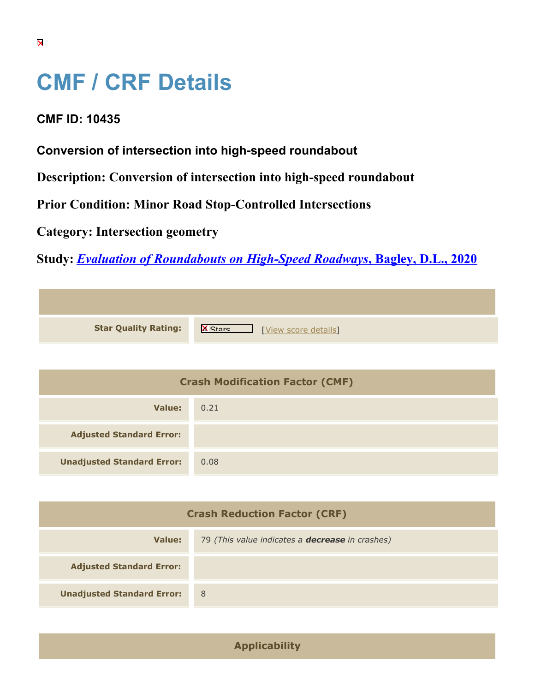## **CMF / CRF Details**

## **CMF ID: 10435**

**Conversion of intersection into high-speed roundabout**

**Description: Conversion of intersection into high-speed roundabout**

**Prior Condition: Minor Road Stop-Controlled Intersections**

**Category: Intersection geometry**

**Study:** *[Evaluation of Roundabouts on High-Speed Roadways](https://cmfclearinghouse.org/study_detail.cfm?stid=605)***[, Bagley, D.L., 2020](https://cmfclearinghouse.org/study_detail.cfm?stid=605)**

| <b>Star Quality Rating:</b> | $\mathbb{R}$<br>[View score details] |
|-----------------------------|--------------------------------------|

| <b>Crash Modification Factor (CMF)</b> |      |
|----------------------------------------|------|
| Value:                                 | 0.21 |
| <b>Adjusted Standard Error:</b>        |      |
| <b>Unadjusted Standard Error:</b>      | 0.08 |

| <b>Crash Reduction Factor (CRF)</b> |                                                        |
|-------------------------------------|--------------------------------------------------------|
| Value:                              | 79 (This value indicates a <b>decrease</b> in crashes) |
| <b>Adjusted Standard Error:</b>     |                                                        |
| <b>Unadjusted Standard Error:</b>   | - 8                                                    |

**Applicability**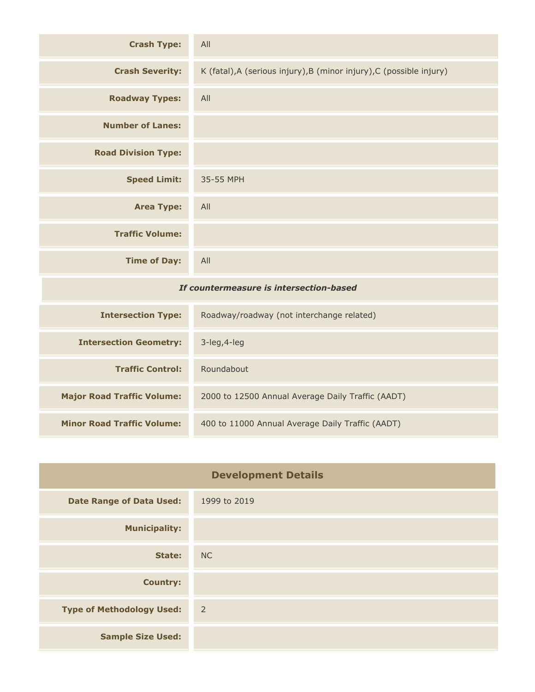| <b>Crash Type:</b>                      | All                                                                  |
|-----------------------------------------|----------------------------------------------------------------------|
| <b>Crash Severity:</b>                  | K (fatal), A (serious injury), B (minor injury), C (possible injury) |
| <b>Roadway Types:</b>                   | All                                                                  |
| <b>Number of Lanes:</b>                 |                                                                      |
| <b>Road Division Type:</b>              |                                                                      |
| <b>Speed Limit:</b>                     | 35-55 MPH                                                            |
| <b>Area Type:</b>                       | All                                                                  |
| <b>Traffic Volume:</b>                  |                                                                      |
| <b>Time of Day:</b>                     | All                                                                  |
| If countermeasure is intersection-based |                                                                      |
| <b>Intersection Type:</b>               | Roadway/roadway (not interchange related)                            |
| <b>Intersection Geometry:</b>           | 3-leg, 4-leg                                                         |

| <b>Traffic Control:</b>           | Roundabout                                        |
|-----------------------------------|---------------------------------------------------|
| <b>Major Road Traffic Volume:</b> | 2000 to 12500 Annual Average Daily Traffic (AADT) |
| <b>Minor Road Traffic Volume:</b> | 400 to 11000 Annual Average Daily Traffic (AADT)  |

| <b>Development Details</b>       |                |
|----------------------------------|----------------|
| <b>Date Range of Data Used:</b>  | 1999 to 2019   |
| <b>Municipality:</b>             |                |
| State:                           | <b>NC</b>      |
| <b>Country:</b>                  |                |
| <b>Type of Methodology Used:</b> | $\overline{2}$ |
| <b>Sample Size Used:</b>         |                |